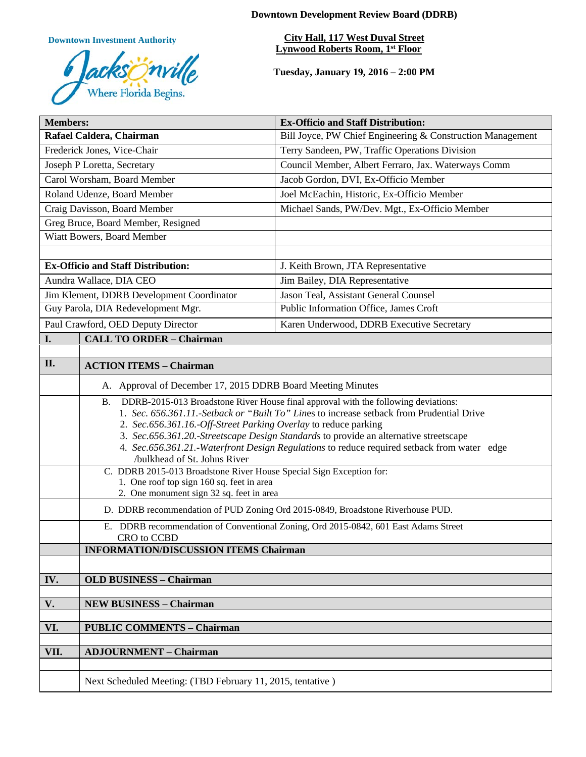**Downtown Investment Authority**



**Downtown Development Review Board (DDRB)**

**City Hall, 117 West Duval Street Lynwood Roberts Room, 1st Floor** 

**Tuesday, January 19, 2016 – 2:00 PM**

| <b>Members:</b>                           |                                                                                                                                                              | <b>Ex-Officio and Staff Distribution:</b>                  |
|-------------------------------------------|--------------------------------------------------------------------------------------------------------------------------------------------------------------|------------------------------------------------------------|
| Rafael Caldera, Chairman                  |                                                                                                                                                              | Bill Joyce, PW Chief Engineering & Construction Management |
| Frederick Jones, Vice-Chair               |                                                                                                                                                              | Terry Sandeen, PW, Traffic Operations Division             |
| Joseph P Loretta, Secretary               |                                                                                                                                                              | Council Member, Albert Ferraro, Jax. Waterways Comm        |
| Carol Worsham, Board Member               |                                                                                                                                                              | Jacob Gordon, DVI, Ex-Officio Member                       |
| Roland Udenze, Board Member               |                                                                                                                                                              | Joel McEachin, Historic, Ex-Officio Member                 |
| Craig Davisson, Board Member              |                                                                                                                                                              | Michael Sands, PW/Dev. Mgt., Ex-Officio Member             |
| Greg Bruce, Board Member, Resigned        |                                                                                                                                                              |                                                            |
| Wiatt Bowers, Board Member                |                                                                                                                                                              |                                                            |
|                                           |                                                                                                                                                              |                                                            |
| <b>Ex-Officio and Staff Distribution:</b> |                                                                                                                                                              | J. Keith Brown, JTA Representative                         |
| Aundra Wallace, DIA CEO                   |                                                                                                                                                              | Jim Bailey, DIA Representative                             |
| Jim Klement, DDRB Development Coordinator |                                                                                                                                                              | Jason Teal, Assistant General Counsel                      |
| Guy Parola, DIA Redevelopment Mgr.        |                                                                                                                                                              | Public Information Office, James Croft                     |
| Paul Crawford, OED Deputy Director        |                                                                                                                                                              | Karen Underwood, DDRB Executive Secretary                  |
| I.                                        | <b>CALL TO ORDER - Chairman</b>                                                                                                                              |                                                            |
|                                           |                                                                                                                                                              |                                                            |
| II.                                       | <b>ACTION ITEMS - Chairman</b>                                                                                                                               |                                                            |
|                                           | A. Approval of December 17, 2015 DDRB Board Meeting Minutes                                                                                                  |                                                            |
|                                           | DDRB-2015-013 Broadstone River House final approval with the following deviations:<br><b>B.</b>                                                              |                                                            |
|                                           | 1. Sec. 656.361.11.-Setback or "Built To" Lines to increase setback from Prudential Drive<br>2. Sec.656.361.16.-Off-Street Parking Overlay to reduce parking |                                                            |
|                                           | 3. Sec.656.361.20.-Streetscape Design Standards to provide an alternative streetscape                                                                        |                                                            |
|                                           | 4. Sec.656.361.21.-Waterfront Design Regulations to reduce required setback from water edge                                                                  |                                                            |
|                                           | /bulkhead of St. Johns River                                                                                                                                 |                                                            |
|                                           | C. DDRB 2015-013 Broadstone River House Special Sign Exception for:<br>1. One roof top sign 160 sq. feet in area                                             |                                                            |
|                                           | 2. One monument sign 32 sq. feet in area                                                                                                                     |                                                            |
|                                           | D. DDRB recommendation of PUD Zoning Ord 2015-0849, Broadstone Riverhouse PUD.                                                                               |                                                            |
|                                           | E. DDRB recommendation of Conventional Zoning, Ord 2015-0842, 601 East Adams Street<br>CRO to CCBD                                                           |                                                            |
|                                           | <b>INFORMATION/DISCUSSION ITEMS Chairman</b>                                                                                                                 |                                                            |
|                                           |                                                                                                                                                              |                                                            |
| IV.                                       | <b>OLD BUSINESS - Chairman</b>                                                                                                                               |                                                            |
|                                           |                                                                                                                                                              |                                                            |
| V.                                        | <b>NEW BUSINESS - Chairman</b>                                                                                                                               |                                                            |
|                                           |                                                                                                                                                              |                                                            |
| VI.                                       | <b>PUBLIC COMMENTS - Chairman</b>                                                                                                                            |                                                            |
| VII.                                      | <b>ADJOURNMENT - Chairman</b>                                                                                                                                |                                                            |
|                                           |                                                                                                                                                              |                                                            |
|                                           | Next Scheduled Meeting: (TBD February 11, 2015, tentative)                                                                                                   |                                                            |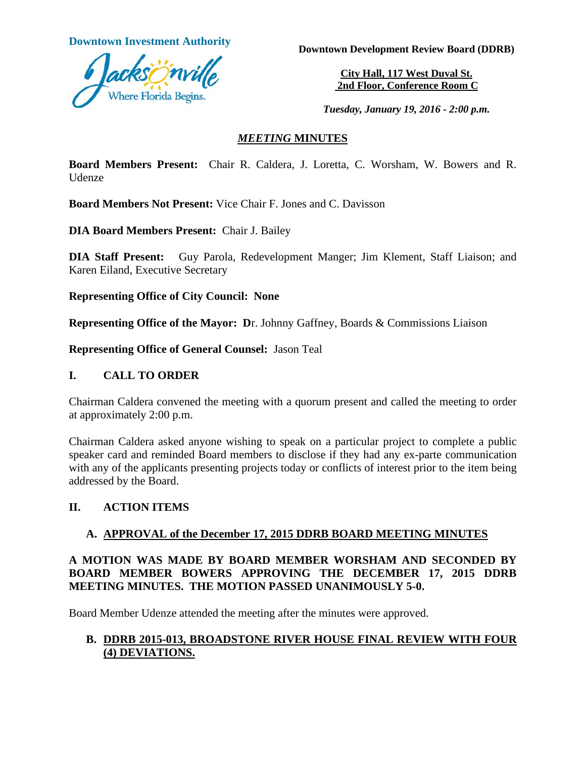

**Downtown Investment Authority Downtown Development Review Board (DDRB)** 

**City Hall, 117 West Duval St. 2nd Floor, Conference Room C**

*Tuesday, January 19, 2016 - 2:00 p.m.*

#### *MEETING* **MINUTES**

**Board Members Present:** Chair R. Caldera, J. Loretta, C. Worsham, W. Bowers and R. Udenze

**Board Members Not Present:** Vice Chair F. Jones and C. Davisson

**DIA Board Members Present:** Chair J. Bailey

**DIA Staff Present:** Guy Parola, Redevelopment Manger; Jim Klement, Staff Liaison; and Karen Eiland, Executive Secretary

**Representing Office of City Council: None**

**Representing Office of the Mayor: D**r. Johnny Gaffney, Boards & Commissions Liaison

**Representing Office of General Counsel:** Jason Teal

#### **I. CALL TO ORDER**

Chairman Caldera convened the meeting with a quorum present and called the meeting to order at approximately 2:00 p.m.

Chairman Caldera asked anyone wishing to speak on a particular project to complete a public speaker card and reminded Board members to disclose if they had any ex-parte communication with any of the applicants presenting projects today or conflicts of interest prior to the item being addressed by the Board.

#### **II. ACTION ITEMS**

#### **A. APPROVAL of the December 17, 2015 DDRB BOARD MEETING MINUTES**

#### **A MOTION WAS MADE BY BOARD MEMBER WORSHAM AND SECONDED BY BOARD MEMBER BOWERS APPROVING THE DECEMBER 17, 2015 DDRB MEETING MINUTES. THE MOTION PASSED UNANIMOUSLY 5-0.**

Board Member Udenze attended the meeting after the minutes were approved.

#### **B. DDRB 2015-013, BROADSTONE RIVER HOUSE FINAL REVIEW WITH FOUR (4) DEVIATIONS.**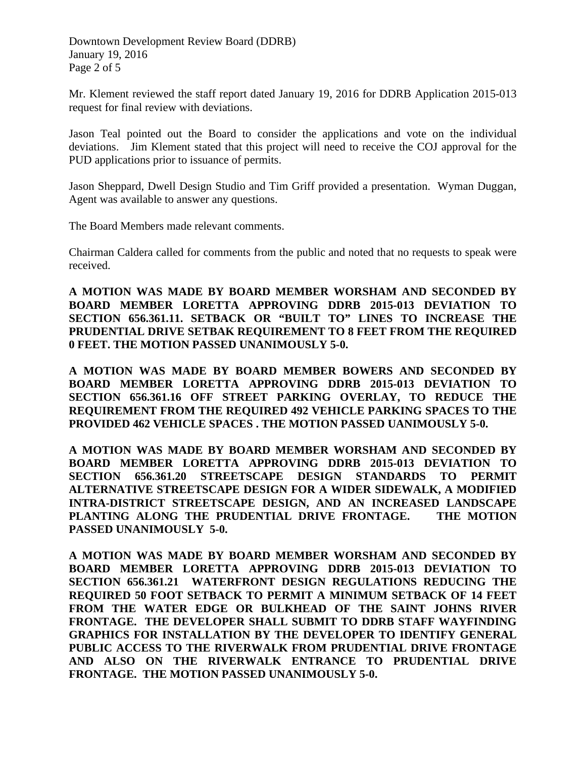Downtown Development Review Board (DDRB) January 19, 2016 Page 2 of 5

Mr. Klement reviewed the staff report dated January 19, 2016 for DDRB Application 2015-013 request for final review with deviations.

Jason Teal pointed out the Board to consider the applications and vote on the individual deviations. Jim Klement stated that this project will need to receive the COJ approval for the PUD applications prior to issuance of permits.

Jason Sheppard, Dwell Design Studio and Tim Griff provided a presentation. Wyman Duggan, Agent was available to answer any questions.

The Board Members made relevant comments.

Chairman Caldera called for comments from the public and noted that no requests to speak were received.

**A MOTION WAS MADE BY BOARD MEMBER WORSHAM AND SECONDED BY BOARD MEMBER LORETTA APPROVING DDRB 2015-013 DEVIATION TO SECTION 656.361.11. SETBACK OR "BUILT TO" LINES TO INCREASE THE PRUDENTIAL DRIVE SETBAK REQUIREMENT TO 8 FEET FROM THE REQUIRED 0 FEET. THE MOTION PASSED UNANIMOUSLY 5-0.**

**A MOTION WAS MADE BY BOARD MEMBER BOWERS AND SECONDED BY BOARD MEMBER LORETTA APPROVING DDRB 2015-013 DEVIATION TO SECTION 656.361.16 OFF STREET PARKING OVERLAY, TO REDUCE THE REQUIREMENT FROM THE REQUIRED 492 VEHICLE PARKING SPACES TO THE PROVIDED 462 VEHICLE SPACES . THE MOTION PASSED UANIMOUSLY 5-0.**

**A MOTION WAS MADE BY BOARD MEMBER WORSHAM AND SECONDED BY BOARD MEMBER LORETTA APPROVING DDRB 2015-013 DEVIATION TO SECTION 656.361.20 STREETSCAPE DESIGN STANDARDS TO PERMIT ALTERNATIVE STREETSCAPE DESIGN FOR A WIDER SIDEWALK, A MODIFIED INTRA-DISTRICT STREETSCAPE DESIGN, AND AN INCREASED LANDSCAPE PLANTING ALONG THE PRUDENTIAL DRIVE FRONTAGE. THE MOTION PASSED UNANIMOUSLY 5-0.**

**A MOTION WAS MADE BY BOARD MEMBER WORSHAM AND SECONDED BY BOARD MEMBER LORETTA APPROVING DDRB 2015-013 DEVIATION TO SECTION 656.361.21 WATERFRONT DESIGN REGULATIONS REDUCING THE REQUIRED 50 FOOT SETBACK TO PERMIT A MINIMUM SETBACK OF 14 FEET FROM THE WATER EDGE OR BULKHEAD OF THE SAINT JOHNS RIVER FRONTAGE. THE DEVELOPER SHALL SUBMIT TO DDRB STAFF WAYFINDING GRAPHICS FOR INSTALLATION BY THE DEVELOPER TO IDENTIFY GENERAL PUBLIC ACCESS TO THE RIVERWALK FROM PRUDENTIAL DRIVE FRONTAGE AND ALSO ON THE RIVERWALK ENTRANCE TO PRUDENTIAL DRIVE FRONTAGE. THE MOTION PASSED UNANIMOUSLY 5-0.**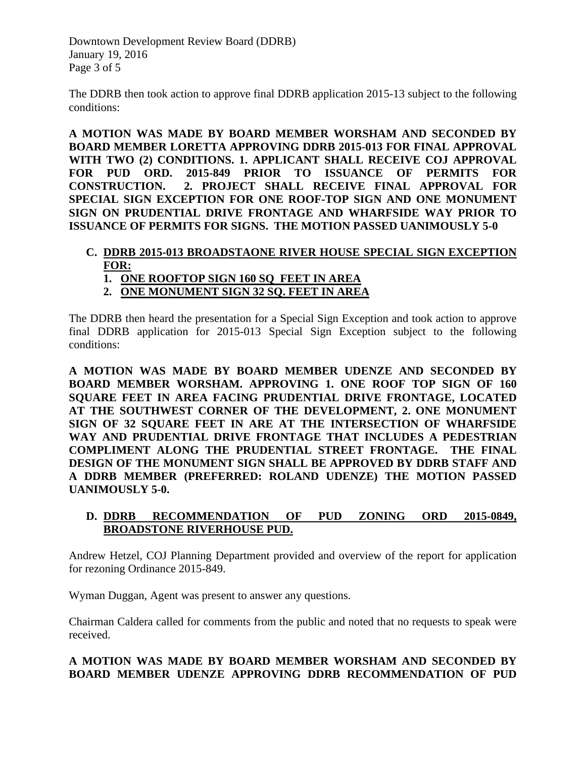Downtown Development Review Board (DDRB) January 19, 2016 Page 3 of 5

The DDRB then took action to approve final DDRB application 2015-13 subject to the following conditions:

**A MOTION WAS MADE BY BOARD MEMBER WORSHAM AND SECONDED BY BOARD MEMBER LORETTA APPROVING DDRB 2015-013 FOR FINAL APPROVAL WITH TWO (2) CONDITIONS. 1. APPLICANT SHALL RECEIVE COJ APPROVAL FOR PUD ORD. 2015-849 PRIOR TO ISSUANCE OF PERMITS FOR CONSTRUCTION. 2. PROJECT SHALL RECEIVE FINAL APPROVAL FOR SPECIAL SIGN EXCEPTION FOR ONE ROOF-TOP SIGN AND ONE MONUMENT SIGN ON PRUDENTIAL DRIVE FRONTAGE AND WHARFSIDE WAY PRIOR TO ISSUANCE OF PERMITS FOR SIGNS. THE MOTION PASSED UANIMOUSLY 5-0**

# **C. DDRB 2015-013 BROADSTAONE RIVER HOUSE SPECIAL SIGN EXCEPTION FOR:**

- **1. ONE ROOFTOP SIGN 160 SQ FEET IN AREA**
- **2. ONE MONUMENT SIGN 32 SQ. FEET IN AREA**

The DDRB then heard the presentation for a Special Sign Exception and took action to approve final DDRB application for 2015-013 Special Sign Exception subject to the following conditions:

**A MOTION WAS MADE BY BOARD MEMBER UDENZE AND SECONDED BY BOARD MEMBER WORSHAM. APPROVING 1. ONE ROOF TOP SIGN OF 160 SQUARE FEET IN AREA FACING PRUDENTIAL DRIVE FRONTAGE, LOCATED AT THE SOUTHWEST CORNER OF THE DEVELOPMENT, 2. ONE MONUMENT SIGN OF 32 SQUARE FEET IN ARE AT THE INTERSECTION OF WHARFSIDE WAY AND PRUDENTIAL DRIVE FRONTAGE THAT INCLUDES A PEDESTRIAN COMPLIMENT ALONG THE PRUDENTIAL STREET FRONTAGE. THE FINAL DESIGN OF THE MONUMENT SIGN SHALL BE APPROVED BY DDRB STAFF AND A DDRB MEMBER (PREFERRED: ROLAND UDENZE) THE MOTION PASSED UANIMOUSLY 5-0.** 

#### **D. DDRB RECOMMENDATION OF PUD ZONING ORD 2015-0849, BROADSTONE RIVERHOUSE PUD.**

Andrew Hetzel, COJ Planning Department provided and overview of the report for application for rezoning Ordinance 2015-849.

Wyman Duggan, Agent was present to answer any questions.

Chairman Caldera called for comments from the public and noted that no requests to speak were received.

#### **A MOTION WAS MADE BY BOARD MEMBER WORSHAM AND SECONDED BY BOARD MEMBER UDENZE APPROVING DDRB RECOMMENDATION OF PUD**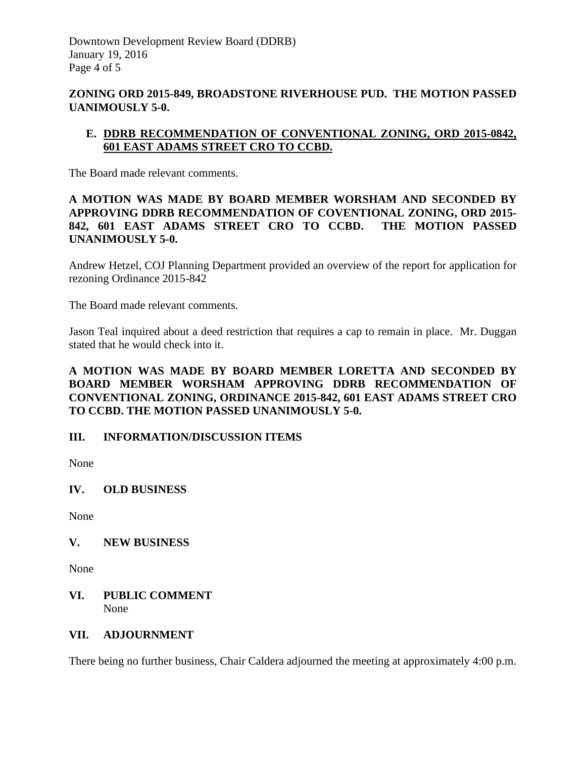#### **ZONING ORD 2015-849, BROADSTONE RIVERHOUSE PUD. THE MOTION PASSED UANIMOUSLY 5-0.**

### **E. DDRB RECOMMENDATION OF CONVENTIONAL ZONING, ORD 2015-0842, 601 EAST ADAMS STREET CRO TO CCBD.**

The Board made relevant comments.

#### **A MOTION WAS MADE BY BOARD MEMBER WORSHAM AND SECONDED BY APPROVING DDRB RECOMMENDATION OF COVENTIONAL ZONING, ORD 2015- 842, 601 EAST ADAMS STREET CRO TO CCBD. THE MOTION PASSED UNANIMOUSLY 5-0.**

Andrew Hetzel, COJ Planning Department provided an overview of the report for application for rezoning Ordinance 2015-842

The Board made relevant comments.

Jason Teal inquired about a deed restriction that requires a cap to remain in place. Mr. Duggan stated that he would check into it.

#### **A MOTION WAS MADE BY BOARD MEMBER LORETTA AND SECONDED BY BOARD MEMBER WORSHAM APPROVING DDRB RECOMMENDATION OF CONVENTIONAL ZONING, ORDINANCE 2015-842, 601 EAST ADAMS STREET CRO TO CCBD. THE MOTION PASSED UNANIMOUSLY 5-0.**

## **III. INFORMATION/DISCUSSION ITEMS**

None

#### **IV. OLD BUSINESS**

None

#### **V. NEW BUSINESS**

None

#### **VI. PUBLIC COMMENT** None

#### **VII. ADJOURNMENT**

There being no further business, Chair Caldera adjourned the meeting at approximately 4:00 p.m.